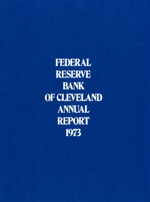FEDERAL **RESERVE** BANK OF CLEVELAND **ANNUAL REPORT** 1973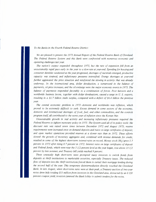#### *To the Banks in the Fourth Federal Reserve District:*

*We are pleased to present the* 1973 *Annual Report of the Federal Reserve Bank of Cleveland. The Federal Reserve System and this Bank were confronted with numerous economic and operating challenges last year.*

*The nation's output expanded throughout* 1973, *but the rate of expansion fell from an unsustainably rapid pace early in the year to a slow rate at year-end. Spending for housing and consumer durables weakened as the year progressed, shortages of materials emerged, productive capacity was strained, and inflationary pressures intensified. Energy shortages at year-end further aggravated the price situation and reinforced the slowing in activity that was already underway. In the international area, dollar devaluation, a turnaround in the balance of payments, oil price increases, and the oil embargo were the major economic events in* 1973. *The balance of payments responded favorably to a combination of forces. Poor harvests and a worldwide business boom, together with dollar devaluations, caused a surge in U* S. *exports, resulting in a* \$1.7 *billion trade surplus, compared with a deficit of* \$6.4 *billion the previous year .:*

*The central economic problem in 1973-domestic and worldwide-was inflation, which proved to be extremely difficult to curb. Excess demand in some sectors of the economy, domestic and international shortages of food, fuel, and other commodities, and the controls program itself, all contributed to the worst year of inflation since the Korean War.*

*Unsustainable growth in real activity and increasing inflationary pressures required the Federal Reserve to tighten monetary policy in* 1973. *The System used all of its policy tools: the discount rate was raised seven times between December* 1972 *and August* 1973; *reserve requirements were increased once on demand deposits and twice on large certificates of deposit; and open market operations provided reserves at a slower rate than in* 1972. *These efforts slowed the growth of monetary aggregates and, combined with intense demands for credit, resulted in some of the highest short-term interest rates on record. Money stock (M]) grew* 5.7 *percent in* 1973 *after rising* 8.7 *percent in* 1972. *Interest rates on large certificates of deposit and Federal funds, which were near the* 5 1/2 *percent level as the year began, rose above 10* 1/2 *percent by late summer, and Treasury bill yields reached* 9 *percent.*

*These unusually high short-term rates prompted many investors to switch funds from deposits at thrift institutions to marketable securities, especially Treasury issues. The reduced flow of deposits into the thrift institutions forced them to curtail their mortgage lending during the second half of the year. This temporary disintermediation directly touched the Cleveland Bank. In late August, when short-term rates were at their peak, a Treasury auction of two-year notes drew bids totaling* \$55 *million from investors in the Cleveland area. Attracted by an* 83/8 *percent coupon yield, investors jammed the Bank lobby to submit tenders for the notes.*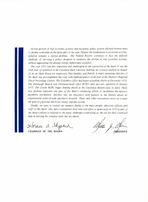*Slower growth of real economic activity and monetary policy actions allowed interest rates to decline somewhat in the latter part of the year. Despite the moderation in economic activity, inflation remains a serious problem. The Federal Reserve continues to face the difficult challenge of choosing a policy designed to minimize the decline in real economic activity, without aggravating the already intense inflationary situation.*

*The year* 1973 *was also important and challenging in the operations of the Bank. It was the 50th year of operation in the Cleveland Bank's historic building, an occasion marked on August 26 by an Open House for employees, their families, and friends. A major operating objective of the Bank was accomplished this year with implementation of all four of the District's Regional Check Processing Centers. The Columbus office had begun accepting checks in December* 1972. *The Pittsburgh Branch and Cleveland head office RCPCs were put into operation in January 1973. The fourth RCPC began clearing checks at the Cincinnati Branch early in April. These new facilities represent one part of the Bank's continuing efforts to modernize the nation's payments mechanism. Another was the discussion with bankers in the District about an experimental point-of-scale payments network. These and other innovations move us toward the goal of a national electronic money transfer system.*

*Finally, we want to extend our warmest thanks to the many people-directors, officers, and staff of this Bank-who have contributed their time and effort so generously in* 1973 *as part of the Bank's efforts to respond to the many challenges confronting us. We ask for their continued help in meeting the complex tasks that are ahead.*

 $\rtimes$ fornee a. Shepma

**CHAIRMAN OF THE BOARD**

PRESIDENT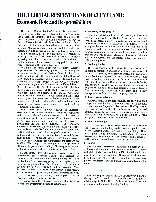# **THE FEDERAL RESERVE BANK OF CLEVELAND: Economic Role and Responsibilities**

The Federal Reserve Bank of Cleveland is one of twelve regional banks in the Federal Reserve System. This Bank, the Branches in Cincinnati and Pittsburgh, and a Regional Check Processing Office in Columbus serve the Fourth Federal Reserve District, which includes the State of Ohio, eastern Kentucky, western Pennsylvania, and northern West Virginia. Numerous services are provided for banks and others, Including collecting checks, providing currency and coin, and acting as fiscal agent for the U. S. Treasury. A major portion of Bank personnel is devoted to these operating activities at the four locations. In addition, a sizable number of employees are engaged in providing support services at the various facilities.

.,

This Bank also shares in the Federal Reserve System's responsibilities for monetary policy. All Reserve Bank presidents regularly attend Federal Open Market Committee meetings with the seven members of the Board of Governors. The President of the Federal Reserve Bank of Cleveland is a voting member of the FOMC every other year-alternating with the President of the Federal Reserve Bank of Chicago. The Board of Directors of the Cleveland Bank is required to establish the Bank's discount rate every two weeks, subject to approval of the Board of Governors. Finally, the Bank, through its Examination and Supervision function, examines state member banks, administers Board regulations applicable to all member banks, and acts as the regulatory supervisor with respect to bank holding companies in the District.

Each officer and employee makes an important contribution to the achievement of the Bank's objectives, and the activities of each department would make an interesting story. Last year's *Annual Report* focused on the evolutionary developments underway in the payments mechanism and the role of Regional Check Processing Centers in the District. This year's *Annual Report* describes another facet of the Bank's many activities: Research. This section outlines the role that the professional economists and support staff have in meeting both Bank and System responsibilities. The second part is a report on a research study of manufacturing firm-commercial bank relationships in Ohio. The study is one example of the Department's efforts to improve understanding of banking practices and of the structure of banking markets in the Fourth District.

Broadly stated, Research's general purpose is to gather information and conduct analysis and research in connection with economic issues and problems related to the Bank's role in monetary policy and its regulatory and operating responsibilities. The Research staff, which is directed by a Vice President and an Assistant Vice President, includes a number of economists, a statistician, and other support personnel, including economic analysts, research assistants, secretaries, stenographers, library personnel, and publication specialists.

Resources available to Research are utilized in five areas to fulfill the Department's complex assignments.

### 1. Monetary Policy Support

Research maintains a flow of information, analysis, and advisory opinions to the Bank's President in connection with his monetary policy responsibilities and to the Board of Directors in support of discount rate activities. Research also provides a flow of information to Branch Boards of Directors. Staff economists have a number of economic and financial research projects underway in the monetary policy support area. For example, studies of the costs of inflation and unemployment and the regional impact of monetary policy are in process.

### 2. Banking Studies

The Department provides information and analysis and undertakes research in connection with economic aspects of the Bank's regulatory and operating responsibilities. In view of the Bank's and System's broad areas of concern in these matters, banking studies include financial and operational activities of the Federal Reserve System, commercial banks, and nonbank financial institutions. Several projects are in progress in this area, including studies of Federal Reserve Bank operations, commercial bank asset and liability management, and bank holding company activities.

### 3. Bank Structure Support

Research shares in the responsibility for analyzing bank merger and bank holding company activities with the Bank Examination and Supervision Department. The Department has specific responsibility for information, analysis, and advisory opinions in areas of competition and public benefits in connection with each application for a bank merger or a holding company acquisition.

## 4. Public Information

The Department shares some results of its monetary policy support and banking studies with the public as part of the System's public information responsibility. Three Bank publications *Economic Commentary, Economic Review,* and *Annual Report-and* speeches and lectures by staff personnel are used to accomplish this objective.

# 5. Library

The Research Department maintains a sizable business and financial library for the benefit of directors, officers, and staff of the Bank and the public. Special emphasis is placed on books, journals, Government documents, periodicals, and other material related to the monetary policy, regulatory, and operating responsibilities of the Bank.

\* \* \*

The following section of this *Annual Report* summarizes findings of a study of manufacturing firm-bank relationships in Ohio. The study is an example of the type of projects undertaken in Banking Studies.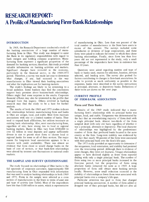# **RESEARCH REPORT: A Proiile oi Manuiacturing Firm-Bank Relationships**

# **INTRODUCfION**

**In** 1969, the Research Department conducted a study of the banking associations of a large number of manufacturing firms in Ohio. This study was designed to assist the Bank in its regulatory responsibilities with regard to bank mergers and holding company acquisitions. Manufacturing firms represent a significant proportion of the demand for banking services; therefore, this study provided valuable information on banking activities and markets. Significant changes have occurred in the economy, particularly in the financial sector, in the 1969-1973 period. Therefore, a survey was made last year to determine what changes, if any, had occurred in the way manufacturers in Ohio viewed their banking associations and what the implications are for banking markets.

The study's findings are likely to be interesting to a broad audience. Some bankers may find the conclusions support basic premises about business-bank relationships. Others might find some surprises in the results. Corporate financial officers may also be interested in the profile that emerged from this inquiry. Others involved in banking research may find the study to be a base for further analysis.

The results of both the 1969 and 1973 studies indicate that relationships between manufacturing firms and banks in Ohio are unique, local, and stable. Most firms maintain associations with one or a limited number of banks. They tend to expand bank affiliations, but seldom terminate an existing bank relationship. Also, most manufacturing firms, regardless of size, have strong ties to local or regional banking markets. Banks in Ohio vary from \$500,000 to over \$2 billion in total deposits and appear sufficiently diverse in size to permit most firms to choose local or regional banks for some or all of their services. The major reason for long-term local associations appears to be a concern with credit availability. There was almost no evidence that firms chose or would change banks on the basis of cost of services, or that bank-firm relationships were altered by interest rate fluctuations in national credit markets.

## **THE SAMPLE AND SURVEY QUESTIONNAIRE**

The study focused on relationships of Ohio banks to the full spectrum of corporate customers. Approximately 500 manufacturing firms in Ohio responded with information that was used to analyze banking relationships in both 1969 and 1973. Firms in the sample were selected as a cross section of manufacturers in the State in terms of asset size and type of activity (see Table). Most of the respondents have less than \$100 million in assets, which is representative

of manufacturing in Ohio. Less than one percent of the total number of manufacturers in the State have assets in excess of this amount. The surveys included some subsidiaries or divisions of large corporations, and these firms were asked to indicate the extent to which they chose banking relationships. Finally, since firms less than four years old are not represented in the study, only a small percentage of the respondents have been in existence less than 10 years.

Questions were asked regarding number and type of bank or banks used, reasons for selection, location, services selected, and lending rates. The survey also probed for factors contributing to changes in firm- bank associations. **In** order to provide as much uniformity as possible in the responses, banks were described in the survey instructions as principal, alternate, or depository banks. Definitions of these terms are shown on the next page.

### **CURRENT PROFILE OF FIRM-BANK ASSOCIATION**

### **Firms and Their Banks**

Results of the 1969 study indicated that a manufacturing firm's relationship with its principal banks was unique, local, and stable. Uniqueness was demonstrated by the fact that an overwhelming majority of firms dealt with a single *principal* bank. Almost two-thirds of the firms sampled dealt with only *one* bank regardless of whether it was a principal, alternate or depository. The local character of relationships was highlighted by the predominant number of firms that preferred banks located in the same county as the firm. Long-term stability was evidenced by the fact that nearly 90 percent of the firms were associated with their principal bank over the firm's life span.

The 1973 study provided an opportunity to determine if the uniqueness, local orientation, and stability had persisted over the intervening period. Although there is evidence of some changes, they were not dramatic. Unique relationships appear to have declined slightly as fewer firms reported dealing with only a single principal bank. The number of firms using two or more principal banks increased in the four-year period, but the proportion of firms using alternate banks remained the same as in 1969. A large proportion of firms still obtain most banking services locally. However, some small reduction occurred in the stability of relationships as fewer firms were associated with principal banks over a company's life span.

Particular attention was paid to firms that changed principal banking associations. A number of firms added or dropped one of their principal banks, but did not alter all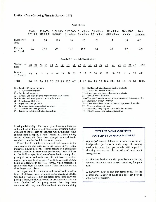|                                  |     | Under<br>\$25,000 |    | $$25,000-$<br>\$100,000 |     | \$100,000-<br>\$500,000 |    | \$500,000-<br>\$1 million          |     |     | \$1 million-<br>\$5 million |                | \$5 million-<br>\$25 million |    |    | \$25 million-<br>\$100 million                    |     | million | Over $$100$ |     | Total<br>Responses |
|----------------------------------|-----|-------------------|----|-------------------------|-----|-------------------------|----|------------------------------------|-----|-----|-----------------------------|----------------|------------------------------|----|----|---------------------------------------------------|-----|---------|-------------|-----|--------------------|
| Number of<br>firms               |     | 19                |    | 94                      |     | 193                     |    |                                    | 56  |     | 81                          |                | 20                           |    |    | 11                                                |     | 14      |             |     | 488                |
| Percent<br>of Total              |     | 3.9               |    | 19.3                    |     | 39.5                    |    | 11.5                               |     |     | 16.6                        |                | 4.1                          |    |    | 2.3                                               |     | 2.9     |             |     | 100%               |
|                                  |     |                   |    |                         |     |                         |    | Standard Industrial Classification |     |     |                             |                |                              |    |    |                                                   |     |         |             |     |                    |
| Number of<br>firms               | 20  | 21                | 22 | 23                      | 24  | 25                      | 26 | 27                                 | 28  | 29  | 30                          | 31             | 32                           | 33 | 34 | 35                                                | 36  | 37      | 38          | 39  | Total              |
| Percent<br>of Sample             | 44  |                   | 3  | 6                       | 13  | 14                      | 13 | 61                                 | 23  | 7   | 12                          | 3 <sup>1</sup> | 24                           | 30 | 81 | 98                                                | 20  | 9       | 6           | 20  | 488                |
| Total                            | 9.0 | 0.2               |    | $0.6 \quad 1.2$         | 2.7 | 2.9                     |    | 2.7 12.5                           | 4.7 | 1.4 |                             |                | $2.5\quad 0.6\quad 4.9$      |    |    | 6.1 16.6 20.1                                     | 4.1 | 1.8     | 1.2         | 4.1 | 100%               |
| $20 -$ Food and kindred products |     |                   |    |                         |     |                         |    |                                    |     |     |                             |                |                              |    |    | $30 -$ Rubber and miscellaneous plastics products |     |         |             |     |                    |

Asset Classes

- 21 Tobacco manufacturers
- 22 Textile mill products
- 23 Apparel and other finished products made from fabrics
- 24 Lumber and wood products, except furniture
- $25 -$  Furniture and fixtures
- 26 Paper and allied products
- 27 Printing, publishing and allied industries
- 28 Chemicals and allied products
- 29 Petroleum refining and related industries
- 31 Leather and leather products
- 32 Stone, clay and glass and concrete products
- 33 Primary metal industries
- 34 Fabricated metal products, except machinery & transportation
- 35 Machinery, except electrical
- 36 Electrical and electronic machinery, equipment & supplies
- 37 Transportation equipment
- 38 Measuring, analyzing and controlling instruments
- 39 Miscellaneous manufacturing industries

banking relationships. The majority of these manufacturers added a bank in their respective counties, providing further evidence of the strength of local ties. One firm added, while another firm dropped, a bank located in a large money center. Almost all firms that changed principal banks switched to another bank in the same county.

Firms that do not have a principal bank located in the same county are still oriented to the region. Survey results indicated almost all of these firms banked in a contiguous county, often in the same metropolitan area. Only 13 firms in the 1973 sample listed out-of-state banks among their principal banks, and only two did not have a local or regional principal bank as well. Nine firms gave out-of-state banks as alternates in the 1973 survey, which represents a small decline from the earlier study. These firms were in the three largest asset classes.

A comparison of the number and size of banks used by firms of different sizes produced some surprising results. One-half of the largest non-subsidiary firms used only one principal bank, which was located in the same county as the firm. One-half of this group stated that they were associated with only one alternate bank, and the remaining

# TYPES OF BANKS AS DEFINED FOR SURVEY OF MANUFACTURERS

A *principal bank* is defined as a bank-domestic or foreign-that performs a wide range of banking services for your firm, particularly with respect to checking accounts and the initiation of bank credit arrangements.

An *alternate bank* is one that provides a few banking services, but not a wide range of services, for your firm.

A *depository bank* is one that serves solely for the deposit and transfer of funds and does not provide other banking services.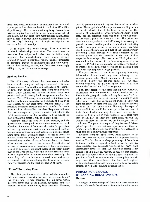firms used none. Additionally, several large firms dealt with a principal and an alternate bank in the \$10 to \$25 million deposit range. This is somewhat surprising. Conventional wisdom implies that small firms can be associated with all size banks, but that large firms must use large banks. Banks may be able to provide credit accommodations far in excess of their legal lending limit through participations or correspondent relationships.

It is evident that some changes have occurred in firm-bank relationships over time. The associations are somewhat less unique and stable than the initial study suggested, but manufacturing firms remain strongly oriented to banks in their local region. Banks are interested in fostering growth of manufacturing and employment within their banking market, and firms seem increasingly willing to rely on this mutual advantage.

### Banking Services

The 1973 survey indicated that there was a noticeable increase in the variety of banking services used by firms of all asset classes. A substantial gain occurred in the number of firms that obtained term loans from their principal banks. Other services that showed increased usage were pension and profit sharing fund management and lock box services. The 1973 survey also showed that international banking skills were demanded by a number of firms in all asset classes, not just large firms. Principal banks are also providing computer services and wire transfers for several firms in all but the smallest size class. Responses indicated that cash management systems, a service first listed in the 1973 questionnaire, can be marketed to firms having less than \$100,000 in assets as well as to larger firms.

Alternate banks are used for a few services, and the questionnaire attempted to determine reasons for such selections. A number of firms used alternates for specialized services, e.g., computer services and international banking, because such services were not available at principal banks. Some firms chose alternates because of cost of services or interest return on funds, but the number was small. An overwhelming number of respondents attributed the choice of an alternate to one of two reasons: diversification of services or convenience of location. In fact, convenience seemed to be a more important factor in the recent survey than in the 1969 study. While this could suggest that firms place a higher value on convenience than previously, the more likely inference is that more services are available at convenient locations considering the demand for a greater variety of services and the local orientation of firms.

### "Prime" Borrowing Rate

The 1969 questionnaire asked firms to indicate whether their most recent borrowing had been "at, above or below" the prime rate. It was assumed that all firms would interpret *prime rate* as the national publicized bank rate charged the most credit-worthy large customers. However, over 70 percent indicated they had borrowed at or below prime. The magnitude of the response was puzzling in view of the size distribution of the firms in the survey. This raised an obvious question: When firms use the term "prime rate," are they referring to national prime, a regional prime, ·or the bank's prime for their risk class? The prime rate question was expanded in the 1973 survey in an attempt to provide an answer to this question. In addition to indicating whether firms paid below, at, or above prime, they were asked to state the rate paid and date of their last short-term borrowing. These answers were then compared to the national prime rate that prevailed at the time of their respective borrowings. (The two tier or "dual prime rate" was used in the analysis, if the borrowing occurred after April 16, 1973.) This comparison permitted a verification of whether or not firms were referring to the national prime rate when they responded to the question.

Forty-six percent of the firms supplying borrowing information demonstrated they were referring to the national prime rate. About one-fourth of these firms borrowed "below" the national prime rate. An equal number borrowed "at" national prime. Firms of all sizes were in the "below" and "at" prime groups.

Fifty-four percent of the firms that supplied borrowing information were not referring to the national prime rate. Firms in the group that indicated they borrowed "at" the prime rate were the ones most frequently referring to some other prime when they answered the question. There was some tendency for firms with less than \$1 million in assets to be in this "at" prime group. This might be expected since small firms would be more apt to borrow most of their funds locally and may have been referring to a regional or bank prime in their responses. Also, large firms may obtain part of their short-term funds through the commercial paper market, so they are focusing on national conditions. The group that reported they borrowed "above prime" specified a rate that was equal to or less than the national prime. Therefore, the *prime* they were referring to must have been below the national prime.

Evidence from the 1973 survey lends support to the view that there are regional markets for corporate banking services. The fact that such a large percentage of firms think in terms of either a regional or bank prime for their risk class indicates that corporate borrowing for many firms (particularly firms less than \$25 million in assets) is not carried out in a national market. It may be that regional rates are less volatile than the national rate; therefore, the positions of the firms relative to the national prime rate will vary over time. Nevertheless, the local and regional orientation has implications for commercial bank marketing strategy as well as for banking structure issues.

# FORCES FOR CHANGE IN BANKING RELATIONSHIPS Review

Changes in relationships of firms with their respective banks could result from internal dissatisfaction with current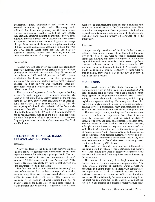arrangements-price, convenience and service-or from external solicitation by other banks. The survey results indicated that firms were generally satisfied with current banking relationships. Less than one-half the firms reported they regularly reviewed banking connections. Several firms indicated they would only review associations when present arrangements became unsatisfactory. A greater percentage of large firms than small firms make a regular examination of their banking connections according to both the 1969 and 1973 results. Large firms generally use a greater number of banking services and, therefore, would have more incentive to undertake a regular examination.

#### Solicitation

Bankers have not been overly aggressive in soliciting new corporate business, which could partially account for lack of change in firm-bank relationships. Only 28 percent of respondents in 1969 and 33 percent in 1973 reported solicitations by banks other than their principal or alternates. The corporate banking service most frequently solicited in both surveys was "checking accounts." Short-term loans and term loans were the next two services offered most often.

The concept of regional markets for corporate banking services is again supported by evidence regarding the location of soliciting banks. Eighty percent of the solicited firms in the 1973 survey were contacted by at least one bank that was located in the same county as the firm. The vast majority of all banks that had solicited the firms in the survey were from Ohio. Only slightly more than ten percent of solicited firms in both 1969 and 1973 were contacted by banks headquartered outside of the State. (This represents less than four percent of all firms surveyed.) The two most frequently mentioned out-of-state locations were New York and California.

# SELECTION OF PRINCIPAL BANKS: REASONS AND LOCATION

#### Reasons

Nearly one-third of the firms in both surveys ranked a "bank's ability to accommodate borrowings" as the most important reason for selecting a principal bank. The next three reasons, ranked in order, are "convenience of bank's location," "skilled management," and "size of bank." The reason cited most frequently by firms in both surveys was "the convenience of bank's location."

The fact that "ability to accommodate borrowing" was most often ranked first in both surveys indicates that manufacturing firms are very concerned about a bank's ability to serve their credit needs. This concern was expressed by all firms in all asset classes; there was no greater tendency for either large or small firms to rank this reason number one. In addition, it is apparent that a sizable

number of all manufacturing firms felt that a principal bank should be located within a firm's immediate area. These results indicate respondents have a preference for local and regional markets for corporate services, with the choice of a particular bank based primarily on assurance of credit availability.

### Location

Approxima tely two-thirds of the firms in both surveys indicated they would choose a bank located in the same city as the firm if they were to change principal banks. Firms that indicated that they would move to a national or regional financial center outside of Ohio were large firms. However, only ten percent of the firms surveyed in 1969 and four percent of those contacted in 1973 indicated they would make such a change. Generally, if firms were to change banks, they would stay in the city or county in which the firm is located.

### **CONCLUSION**

The overall results of the study demonstrate that manufacturing firms in Ohio maintain an association with their principal bank or banks over a long period of time. Firms appear to be primarily concerned with a bank's ability to meet their credit requirements, which largely explains the apparent stability. The survey also shows that firms are strongly oriented to local or regional markets for banking services. Furthermore, many manufacturers do not associate their borrowing rate with the national prime rate.

The two major results, stability and local orientation, seem to confirm the impression that Ohio firms are primarily concerned with insuring credit availability through long-term and local relationships. Most large firms also use banks in their local or regional Ohio markets, although in some instances they use out-of-state banks as well. This local orientation may be the traditional pattern of "doing business," but it could change with the increasing use of electronic fund transfer systems. However, it is not certain that this technological development will totally alter local relationships if firms' short-term borrowing needs continue to be met by Ohio banks.

The results of this study may have been influenced by the time period in which it was conducted. The surveys were taken during two years of relatively restrictive credit market conditions, and firms may have been influenced by this experience.

The results of the study have implications for the Federal Reserve System's regulatory responsibilities. The study raises a number of questions about competitive conditions in banking markets. In addition, it demonstrates the importance of local or regional markets to most business customers of banks as well as to individual customers. This relationship between manufacturing firms and local banks is important in the analysis of competitive effects of bank mergers and holding company acquisitions.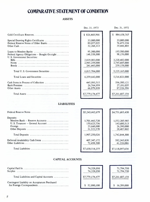# **COMPARATIVE STATEMENT OF CONDITION**

# **ASSETS**

| Gold Certificate Reserves                                                                               |
|---------------------------------------------------------------------------------------------------------|
| Special Drawing Rights Certificates<br>Federal Reserve Notes of Other Banks                             |
| Loans to Member Banks<br>Federal Agency Obligations $-$ Bought Outright<br>U. S. Government Securities: |
|                                                                                                         |
| Total U.S. Government Securities                                                                        |
| Total Loans and Securities                                                                              |
| Cash Items in Process of Collection                                                                     |
| Total Assets                                                                                            |

| Dec. 31, 1973                                 | Dec. 31, 1972                                 |
|-----------------------------------------------|-----------------------------------------------|
| \$826,468,966                                 | \$<br>884,658,767                             |
| 33,000,000<br>89,057,025<br>32,268,113        | 33,000,000<br>76,473,234<br>39,446,403        |
| 95,300,000<br>148,558,000                     | 193,500,000<br>98,156,000                     |
| 2,829,082,000<br>2,945,259,000<br>241,443,000 | 2,220,402,000<br>2,745,605,000<br>259,158,000 |
| 6,015,784,000                                 | 5,225,165,000                                 |
| 6,259,642,000                                 | 5,516,821,000                                 |
| 445,093,515<br>26,764,959<br>66,879,899       | 596,580,121<br>27,181,035<br>87,526,594       |
| \$7,779,174,477                               | \$7,261,687,154                               |

# **LIABILITIES**

| Federal Reserve Notes             | \$5,243,462,679 | \$4,751,683,430 |
|-----------------------------------|-----------------|-----------------|
| Deposits:                         |                 |                 |
| Member Bank - Reserve Accounts    | 1,701,443,720   | 1,552,285,985   |
| U. S. Treasurer - General Account | 150,623,736     | 143,680,513     |
|                                   | 23,660,000      | 26,390,000      |
| Other Deposits                    | 31,522,570      | 20,487,802      |
| Total Deposits                    | 1,907,250,026   | 1,742,844,300   |
| Deferred Availability Cash Items  | 407, 347, 172   | 582,343,838     |
|                                   | 72,458,500      | 41,226,086      |
| Total Liabilities                 | \$7,630,518,377 | \$7,118,097,654 |

# **CAPITAL ACCOUNTS**

| Total Liabilities and Capital Accounts        |
|-----------------------------------------------|
| Contingent Liability on Acceptances Purchased |

| 74,328,050<br>74,328,050 | 71,794,750<br>71,794,750 |
|--------------------------|--------------------------|
| \$7,779,174,477          | \$7,261,687,154          |
| 52,880,100               | 16,289,000               |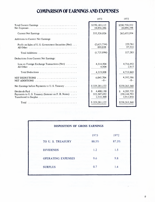# **COMPARISON OF EARNINGS AND EXPENSES**

|                                                                                                                                       | 1973                                       | 1972                                        |
|---------------------------------------------------------------------------------------------------------------------------------------|--------------------------------------------|---------------------------------------------|
|                                                                                                                                       | \$370,183,112<br>34,856,286                | \$290,750,352<br>28,094,398                 |
|                                                                                                                                       | 335,326,826                                | 262,655,954                                 |
| Additions to Current Net Earnings:                                                                                                    |                                            |                                             |
| Profit on Sales of U.S. Government Securities (Net)<br>All Other                                                                      | (2,625,734)<br>899,838                     | 229,761<br>97,522                           |
|                                                                                                                                       | (1,725,896)                                | 327,283                                     |
| Deductions from Current Net Earnings:                                                                                                 |                                            |                                             |
| Loss on Foreign Exchange Transactions (Net)                                                                                           | 4,314,904<br>4,904                         | 4,716,952<br>2,917                          |
| Total Deductions                                                                                                                      | 4,319,808                                  | 4,719,869                                   |
| NET DEDUCTIONS $\ldots \ldots \ldots \ldots \ldots \ldots \ldots$<br>NET ADDITIONS $\ldots \ldots \ldots \ldots \ldots \ldots \ldots$ | 6,045,704<br>$-0-$                         | 4,392,586<br>$-0-$                          |
| Net Earnings before Payments to U.S. Treasury                                                                                         | \$329,281,122                              | \$258,263,368                               |
| Payments to U.S. Treasury (Interest on F.R. Notes)                                                                                    | 4,400,130<br>S<br>322,347,692<br>2,533,300 | 4,205,725<br>\$<br>250,144,793<br>3,912,850 |
|                                                                                                                                       | \$329,281,122                              | \$258,263,368                               |

| DISPOSITION OF GROSS EARNINGS |       |       |
|-------------------------------|-------|-------|
|                               | 1973  | 1972  |
| TO U. S. TREASURY             | 88.5% | 87.3% |
| <b>DIVIDENDS</b>              | 1.2   | 1.5   |
| OPERATING EXPENSES            | 9.6   | 9.8   |
| <b>SURPLUS</b>                | 0.7   | 1.4   |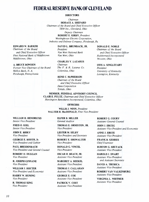# **FEDERAL RESERVE BANK OF CLEVELAND**

### DIRECTORS

### *Chairman*

HORACE A. SHEPARD *Chairman of the Board and Chief Executive Officer TRW Inc., Cleveland, Ohio*

*Deputy Chairman*

ROBERT E. KIRBY, *President Westinghouse Electric Corporation, Industry and Defense Company, Pittsburgh, Pa.*

# EDWARD W. BARKER

*Chairman of the Board and Chief Executive Officer First National Bank of Middletown Middletown, Ohio*

#### A. BRUCE BOWDEN

*Former Vice Chairman of the Board Mellon Bank, N. A. Pittsburgh, Pennsylvania*

# DAVID L. BRUMBACK, JR.

*President Van Wert National Bank Van Wert, Ohio*

### CHARLES Y. LAZARUS

*Chairman The F* & *R. Lazarus Co. Columbus, Ohio*

## RENE C. McPHERSON *Chairman of the Board and Chief Execu five. Officer Dana Corporation Toledo, Ohio*

DONALD E. NOBLE *Chairman of the Board*

*and Chief Executive Officer Rubbermaid Incorporated Wooster, Ohio*

OTIS A. SINGLETARY *President University of Kentucky Lexington, Kentucky*

MEMBER, FEDERAL ADVISORY COUNCIL CLAIR E. FULTZ, *Chairman and Chief Executive Officer Huntington Bancshares Incorporated, Columbus, Ohio*

# **OFFICERS**

WILLIS J. WINN, *President* WALTER H. MacDONALD, *First Vice President*

#### WILLIAM H. HENDRICKS *Senior Vice President*

FREDO. KIEL *Senior Vice President*

JOHN E. BIRKY *Vice President*

GEORGE E. BOOTH, Jr. *Vice President and Cashier*

PAUL BREIDENBACH *Vice President and General Counsel*

ROBERT D. DUGGAN *Vice President*

R. JOSEPH GINNANE *Vice President*

WILLIAM J. HOCTER *Vice President and Economist*

HARRY W. HUNING *Vice Presiden t*

R. THOMAS KING *Vice Presiden t*

### ELFER B. MILLER *General Auditor*

THOMAS E. ORMISTON, JR. *Vice President*

LESTER M. SELBY *Vice President and Secretary*

ROBERT E. SHOWALTER *Vice President*

DONALD G. VINCEL *Vice President*

OSCAR H. BEACH, JR. *Assistant Vice President*

MARGRET A. BEEKEL *Assistant Vice President*

THOMAS J. CALLAHAN *Assistant Vice President*

GEORGE E. COE *Assistant Vice President*

PATRICK V. COST *Assistant Vice President*

ROBERT G. COURY *Assistant General Counsel*

JOHN J. ERCEG *Assistant Vice President and Economist*

ANNE J. ERSTE *Assistant Vice President*

FRANK B. KEHRES *Chief Examiner*

BURTON G. SHUT ACK *Assistant Vice President*

HAROLD J. SWART *Assistant Vice President and Assistant Secretary*

DAVID A. TRUBICA *Assistant Vice President*

ROBERT VAN VALKENBURG *Assistant Vice President*

VIRGINIA L. WHITMER *Assistant Vice President*